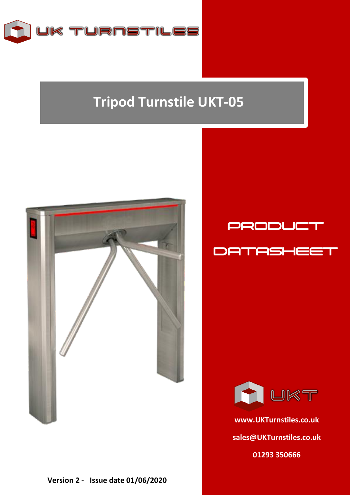

## **Tripod Turnstile UKT-05**







**[www.UKTurnstiles.co.uk](http://www.ukturnstiles.co.uk/) [sales@UKTurnstiles.co.uk](mailto:sales@UKTurnstiles.co.uk) 01293 350666**